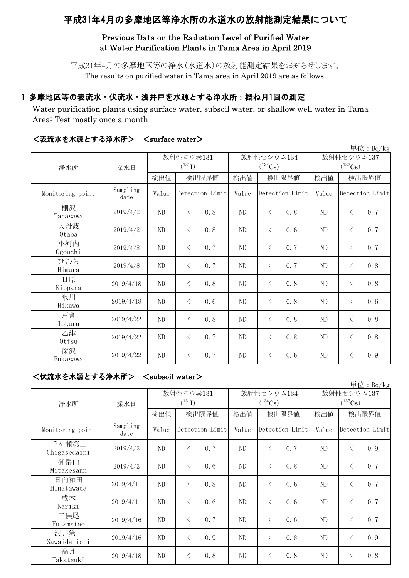# 平成31年4月の多摩地区等浄水所の水道水の放射能測定結果について

### Previous Data on the Radiation Level of Purified Water at Water Purification Plants in Tama Area in April 2019

平成31年4月の多摩地区等の浄水(水道水)の放射能測定結果をお知らせします。 The results on purified water in Tama area in April 2019 are as follows.

## 1 多摩地区等の表流水・伏流水・浅井戸を水源とする浄水所:概ね月1回の測定

Water purification plants using surface water, subsoil water, or shallow well water in Tama Area: Test mostly once a month

|                  |                  |          |                  |          |                  |                       | 単位: Bq/kg        |  |
|------------------|------------------|----------|------------------|----------|------------------|-----------------------|------------------|--|
| 浄水所              |                  |          | 放射性ヨウ素131        |          | 放射性セシウム134       | 放射性セシウム137            |                  |  |
|                  | 採水日              |          | $(^{131}I)$      |          | $(^{134}Cs)$     | $(^{137}\mathrm{Cs})$ |                  |  |
|                  |                  | 検出値      | 検出限界値            | 検出値      | 検出限界値            | 検出値                   | 検出限界値            |  |
| Monitoring point | Sampling<br>date | Value    | Detection Limit  | Value    | Detection Limit  | Value                 | Detection Limit  |  |
| 棚沢<br>Tanasawa   | 2019/4/2         | ND       | 0.8<br>$\langle$ | $\rm ND$ | $\langle$<br>0.8 | ND                    | 0.7<br>$\lt$     |  |
| 大丹波<br>0taba     | 2019/4/2         | ND       | 0.8<br>$\langle$ | $\rm ND$ | $\lt$<br>0.6     | ND                    | 0.7<br>$\lt$     |  |
| 小河内<br>Ogouchi   | 2019/4/8         | ND       | $\langle$<br>0.7 | $\rm ND$ | 0.7<br>$\lt$     | ND                    | 0.7<br>$\langle$ |  |
| ひむら<br>Himura    | 2019/4/8         | ND       | 0.7<br>$\langle$ | $\rm ND$ | 0.7<br>$\lt$     | ND                    | 0.8<br>$\lt$     |  |
| 日原<br>Nippara    | 2019/4/18        | ND       | 0.8<br>$\langle$ | $\rm ND$ | 0.8<br>$\lt$     | ND                    | 0.8<br>$\lt$     |  |
| 氷川<br>Hikawa     | 2019/4/18        | ND       | $\langle$<br>0.6 | $\rm ND$ | 0.8<br>$\lt$     | ND                    | 0.6<br>$\lt$     |  |
| 戸倉<br>Tokura     | 2019/4/22        | ND       | 0.8<br>$\langle$ | ND       | 0.8<br>$\lt$     | ND                    | 0.8<br>$\lt$     |  |
| 乙津<br>Ottsu      | 2019/4/22        | ND       | 0.7<br>$\langle$ | $\rm ND$ | 0.8<br>$\lt$     | $\rm ND$              | 0.8<br>$\lt$     |  |
| 深沢<br>Fukasawa   | 2019/4/22        | $\rm ND$ | 0.7<br>$\langle$ | $\rm ND$ | 0.6<br>$\lt$     | ND                    | 0.9<br>$\lt$     |  |

### <表流水を水源とする浄水所> <surface water>

<伏流水を水源とする浄水所> <subsoil water>

|                       |                  |                          |                  |     |                            |                 |     |                            |                 | 単位: $Bq/kg$ |
|-----------------------|------------------|--------------------------|------------------|-----|----------------------------|-----------------|-----|----------------------------|-----------------|-------------|
| 浄水所                   | 採水日              | 放射性ヨウ素131<br>$(^{131}I)$ |                  |     | 放射性セシウム134<br>$(^{134}Cs)$ |                 |     | 放射性セシウム137<br>$(^{137}Cs)$ |                 |             |
|                       |                  | 検出値                      | 検出限界値            |     | 検出値                        | 検出限界値           |     | 検出値                        |                 | 検出限界値       |
| Monitoring point      | Sampling<br>date | Value                    | Detection Limit  |     | Value                      | Detection Limit |     | Value                      | Detection Limit |             |
| 千ヶ瀬第二<br>Chigasedaini | 2019/4/2         | ND                       | 0.7<br>$\langle$ |     | ND                         | $\langle$       | 0.7 | ND                         | $\lt$           | 0.9         |
| 御岳山<br>Mitakesann     | 2019/4/2         | ND                       | $\langle$        | 0.6 | ND                         | $\langle$       | 0.8 | ND                         | $\lt$           | 0.7         |
| 日向和田<br>Hinatawada    | 2019/4/11        | ND                       | $\langle$        | 0.8 | ND                         | $\lt$           | 0.6 | ND                         | $\langle$       | 0.7         |
| 成木<br>Nariki          | 2019/4/11        | ND                       |                  | 0.6 | ND                         | $\lt$           | 0.6 | ND                         | $\lt$           | 0.7         |
| 二俣尾<br>Futamatao      | 2019/4/16        | ND                       | $\langle$        | 0.7 | ND                         | $\langle$       | 0.6 | ND                         | $\langle$       | 0.7         |
| 沢井第一<br>Sawaidaiichi  | 2019/4/16        | ND                       | $\langle$        | 0.9 | ND                         | $\langle$       | 0.8 | ND                         | $\lt$           | 0.9         |
| 高月<br>Takatsuki       | 2019/4/18        | ND                       |                  | 0.8 | ND                         | $\langle$       | 0.8 | ND                         | $\langle$       | 0.8         |